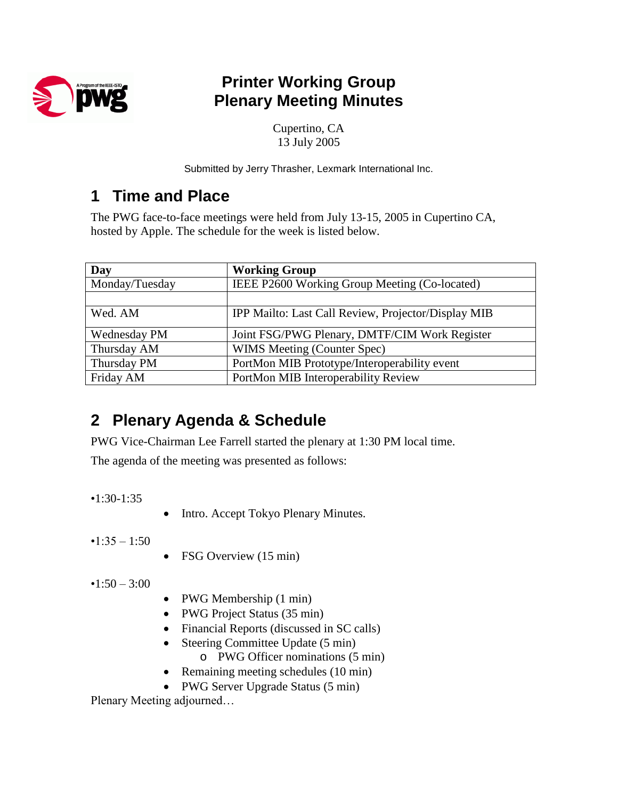

## **Printer Working Group Plenary Meeting Minutes**

Cupertino, CA 13 July 2005

Submitted by Jerry Thrasher, Lexmark International Inc.

## **1 Time and Place**

The PWG face-to-face meetings were held from July 13-15, 2005 in Cupertino CA, hosted by Apple. The schedule for the week is listed below.

| Day                 | <b>Working Group</b>                                |  |
|---------------------|-----------------------------------------------------|--|
| Monday/Tuesday      | IEEE P2600 Working Group Meeting (Co-located)       |  |
|                     |                                                     |  |
| Wed. AM             | IPP Mailto: Last Call Review, Projector/Display MIB |  |
| <b>Wednesday PM</b> | Joint FSG/PWG Plenary, DMTF/CIM Work Register       |  |
| Thursday AM         | WIMS Meeting (Counter Spec)                         |  |
| Thursday PM         | PortMon MIB Prototype/Interoperability event        |  |
| Friday AM           | PortMon MIB Interoperability Review                 |  |

# **2 Plenary Agenda & Schedule**

PWG Vice-Chairman Lee Farrell started the plenary at 1:30 PM local time.

The agenda of the meeting was presented as follows:

•1:30-1:35

• Intro. Accept Tokyo Plenary Minutes.

 $•1:35-1:50$ 

• FSG Overview (15 min)

 $•1:50 - 3:00$ 

- PWG Membership (1 min)
- PWG Project Status (35 min)
- Financial Reports (discussed in SC calls)
- Steering Committee Update (5 min)
	- o PWG Officer nominations (5 min)
- Remaining meeting schedules (10 min)
- PWG Server Upgrade Status (5 min)

Plenary Meeting adjourned...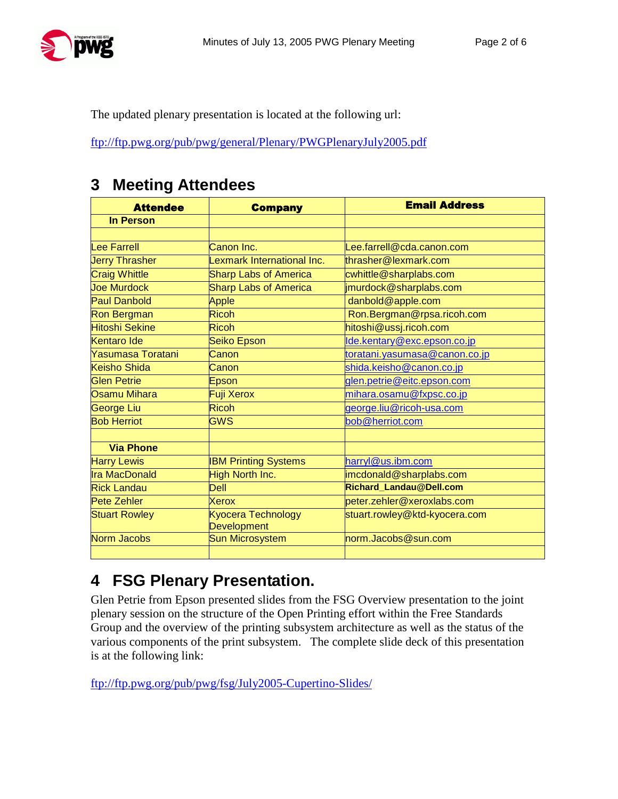

The updated plenary presentation is located at the following url:

<ftp://ftp.pwg.org/pub/pwg/general/Plenary/PWGPlenaryJuly2005.pdf>

### **3 Meeting Attendees**

| <b>Attendee</b>       | <b>Company</b>                           | <b>Email Address</b>               |
|-----------------------|------------------------------------------|------------------------------------|
| <b>In Person</b>      |                                          |                                    |
|                       |                                          |                                    |
| Lee Farrell           | Canon Inc.                               | Lee.farrell@cda.canon.com          |
| <b>Jerry Thrasher</b> | Lexmark International Inc.               | thrasher@lexmark.com               |
| <b>Craig Whittle</b>  | <b>Sharp Labs of America</b>             | cwhittle@sharplabs.com             |
| <b>Joe Murdock</b>    | <b>Sharp Labs of America</b>             | jmurdock@sharplabs.com             |
| <b>Paul Danbold</b>   | Apple                                    | danbold@apple.com                  |
| <b>Ron Bergman</b>    | <b>Ricoh</b>                             | Ron.Bergman@rpsa.ricoh.com         |
| <b>Hitoshi Sekine</b> | <b>Ricoh</b>                             | hitoshi@ussj.ricoh.com             |
| Kentaro Ide           | Seiko Epson                              | <u>lde.kentary@exc.epson.co.jp</u> |
| Yasumasa Toratani     | Canon                                    | toratani.yasumasa@canon.co.jp      |
| Keisho Shida          | Canon                                    | shida.keisho@canon.co.jp           |
| Glen Petrie           | Epson                                    | glen.petrie@eitc.epson.com         |
| Osamu Mihara          | Fuji Xerox                               | mihara.osamu@fxpsc.co.jp           |
| George Liu            | Ricoh                                    | george.liu@ricoh-usa.com           |
| <b>Bob Herriot</b>    | <b>GWS</b>                               | bob@herriot.com                    |
|                       |                                          |                                    |
| <b>Via Phone</b>      |                                          |                                    |
| <b>Harry Lewis</b>    | <b>IBM Printing Systems</b>              | harryl@us.ibm.com                  |
| <b>Ira MacDonald</b>  | <b>High North Inc.</b>                   | imcdonald@sharplabs.com            |
| <b>Rick Landau</b>    | Dell                                     | Richard_Landau@Dell.com            |
| <b>Pete Zehler</b>    | Xerox                                    | peter.zehler@xeroxlabs.com         |
| <b>Stuart Rowley</b>  | Kyocera Technology<br><b>Development</b> | stuart.rowley@ktd-kyocera.com      |
| Norm Jacobs           | <b>Sun Microsystem</b>                   | norm.Jacobs@sun.com                |
|                       |                                          |                                    |

## **4 FSG Plenary Presentation.**

Glen Petrie from Epson presented slides from the FSG Overview presentation to the joint plenary session on the structure of the Open Printing effort within the Free Standards Group and the overview of the printing subsystem architecture as well as the status of the various components of the print subsystem. The complete slide deck of this presentation is at the following link:

<ftp://ftp.pwg.org/pub/pwg/fsg/July2005-Cupertino-Slides/>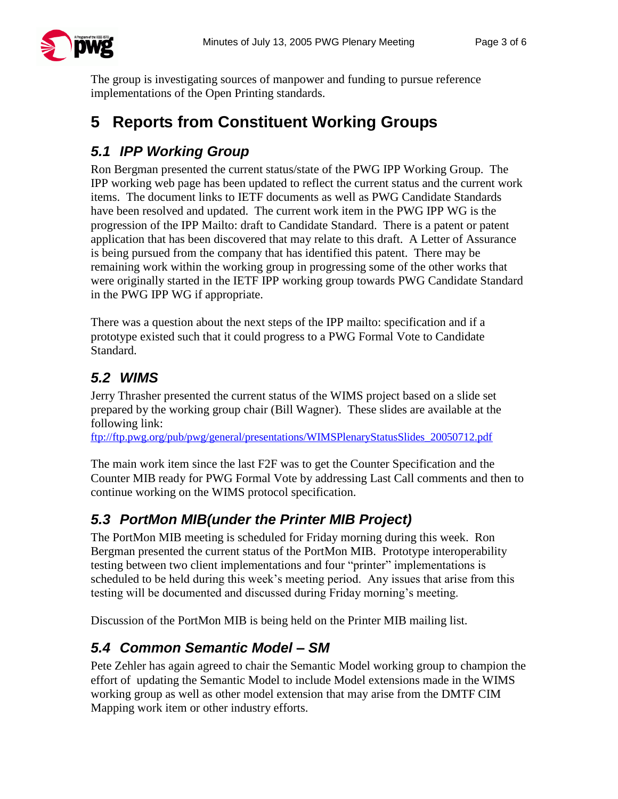

The group is investigating sources of manpower and funding to pursue reference implementations of the Open Printing standards.

# **5 Reports from Constituent Working Groups**

### *5.1 IPP Working Group*

Ron Bergman presented the current status/state of the PWG IPP Working Group. The IPP working web page has been updated to reflect the current status and the current work items. The document links to IETF documents as well as PWG Candidate Standards have been resolved and updated. The current work item in the PWG IPP WG is the progression of the IPP Mailto: draft to Candidate Standard. There is a patent or patent application that has been discovered that may relate to this draft. A Letter of Assurance is being pursued from the company that has identified this patent. There may be remaining work within the working group in progressing some of the other works that were originally started in the IETF IPP working group towards PWG Candidate Standard in the PWG IPP WG if appropriate.

There was a question about the next steps of the IPP mailto: specification and if a prototype existed such that it could progress to a PWG Formal Vote to Candidate Standard.

### *5.2 WIMS*

Jerry Thrasher presented the current status of the WIMS project based on a slide set prepared by the working group chair (Bill Wagner). These slides are available at the following link:

[ftp://ftp.pwg.org/pub/pwg/general/presentations/WIMSPlenaryStatusSlides\\_20050712.pdf](ftp://ftp.pwg.org/pub/pwg/general/presentations/WIMSPlenaryStatusSlides_20050712.pdf)

The main work item since the last F2F was to get the Counter Specification and the Counter MIB ready for PWG Formal Vote by addressing Last Call comments and then to continue working on the WIMS protocol specification.

## *5.3 PortMon MIB(under the Printer MIB Project)*

The PortMon MIB meeting is scheduled for Friday morning during this week. Ron Bergman presented the current status of the PortMon MIB. Prototype interoperability testing between two client implementations and four "printer" implementations is scheduled to be held during this week's meeting period. Any issues that arise from this testing will be documented and discussed during Friday morning's meeting.

Discussion of the PortMon MIB is being held on the Printer MIB mailing list.

### *5.4 Common Semantic Model –SM*

Pete Zehler has again agreed to chair the Semantic Model working group to champion the effort of updating the Semantic Model to include Model extensions made in the WIMS working group as well as other model extension that may arise from the DMTF CIM Mapping work item or other industry efforts.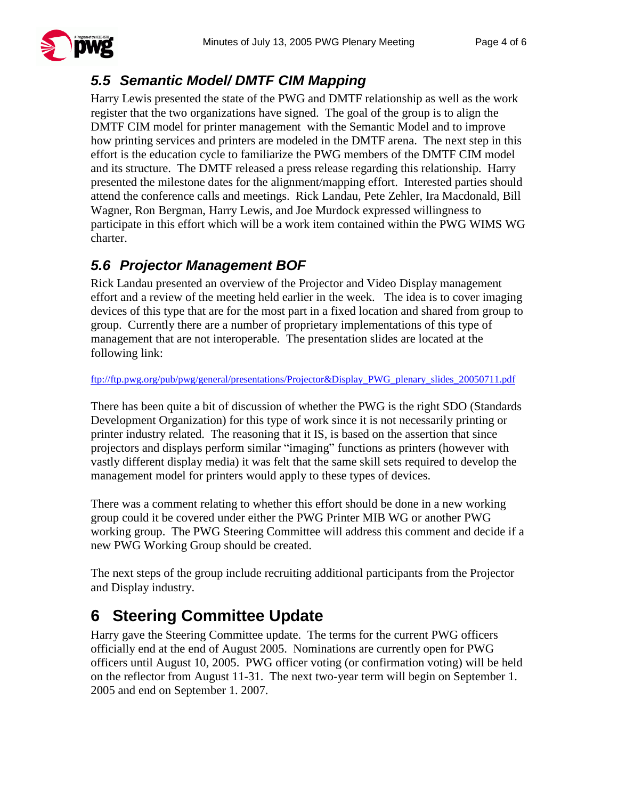

#### *5.5 Semantic Model/ DMTF CIM Mapping*

Harry Lewis presented the state of the PWG and DMTF relationship as well as the work register that the two organizations have signed. The goal of the group is to align the DMTF CIM model for printer management with the Semantic Model and to improve how printing services and printers are modeled in the DMTF arena. The next step in this effort is the education cycle to familiarize the PWG members of the DMTF CIM model and its structure. The DMTF released a press release regarding this relationship. Harry presented the milestone dates for the alignment/mapping effort. Interested parties should attend the conference calls and meetings. Rick Landau, Pete Zehler, Ira Macdonald, Bill Wagner, Ron Bergman, Harry Lewis, and Joe Murdock expressed willingness to participate in this effort which will be a work item contained within the PWG WIMS WG charter.

### *5.6 Projector Management BOF*

Rick Landau presented an overview of the Projector and Video Display management effort and a review of the meeting held earlier in the week. The idea is to cover imaging devices of this type that are for the most part in a fixed location and shared from group to group. Currently there are a number of proprietary implementations of this type of management that are not interoperable. The presentation slides are located at the following link:

[ftp://ftp.pwg.org/pub/pwg/general/presentations/Projector&Display\\_PWG\\_plenary\\_slides\\_20050711.pdf](ftp://ftp.pwg.org/pub/pwg/general/presentations/Projector&Display_PWG_plenary_slides_20050711.pdf)

There has been quite a bit of discussion of whether the PWG is the right SDO (Standards Development Organization) for this type of work since it is not necessarily printing or printer industry related. The reasoning that it IS, is based on the assertion that since projectors and displays perform similar "imaging" functions as printers (however with vastly different display media) it was felt that the same skill sets required to develop the management model for printers would apply to these types of devices.

There was a comment relating to whether this effort should be done in a new working group could it be covered under either the PWG Printer MIB WG or another PWG working group. The PWG Steering Committee will address this comment and decide if a new PWG Working Group should be created.

The next steps of the group include recruiting additional participants from the Projector and Display industry.

# **6 Steering Committee Update**

Harry gave the Steering Committee update. The terms for the current PWG officers officially end at the end of August 2005. Nominations are currently open for PWG officers until August 10, 2005. PWG officer voting (or confirmation voting) will be held on the reflector from August 11-31. The next two-year term will begin on September 1. 2005 and end on September 1. 2007.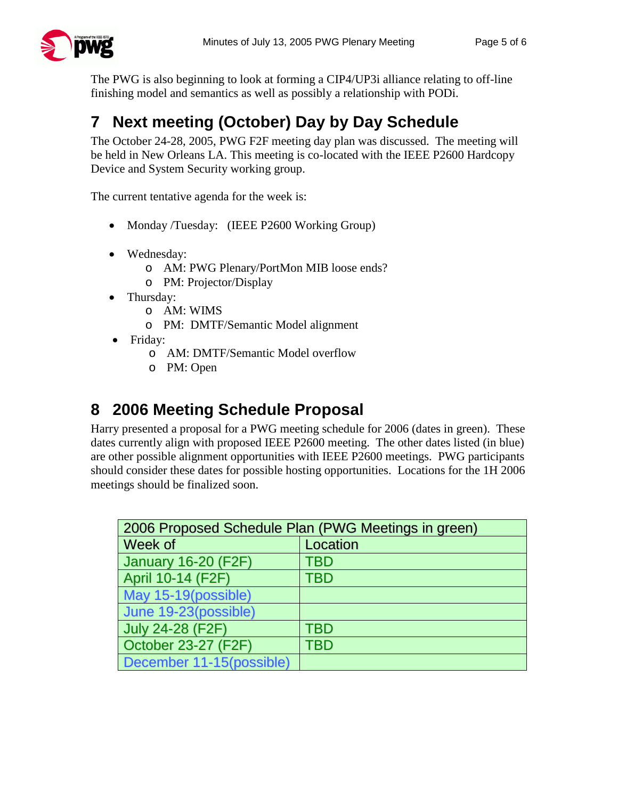The PWG is also beginning to look at forming a CIP4/UP3i alliance relating to off-line finishing model and semantics as well as possibly a relationship with PODi.

# **7 Next meeting (October) Day by Day Schedule**

The October 24-28, 2005, PWG F2F meeting day plan was discussed. The meeting will be held in New Orleans LA. This meeting is co-located with the IEEE P2600 Hardcopy Device and System Security working group.

The current tentative agenda for the week is:

- Monday /Tuesday: (IEEE P2600 Working Group)
- Wednesday:
	- o AM: PWG Plenary/PortMon MIB loose ends?
	- o PM: Projector/Display
- Thursday:
	- o AM: WIMS
	- o PM: DMTF/Semantic Model alignment
- Friday:
	- o AM: DMTF/Semantic Model overflow
	- o PM: Open

## **8 2006 Meeting Schedule Proposal**

Harry presented a proposal for a PWG meeting schedule for 2006 (dates in green). These dates currently align with proposed IEEE P2600 meeting. The other dates listed (in blue) are other possible alignment opportunities with IEEE P2600 meetings. PWG participants should consider these dates for possible hosting opportunities. Locations for the 1H 2006 meetings should be finalized soon.

| 2006 Proposed Schedule Plan (PWG Meetings in green) |            |  |
|-----------------------------------------------------|------------|--|
| Week of                                             | Location   |  |
| <b>January 16-20 (F2F)</b>                          | <b>TBD</b> |  |
| April 10-14 (F2F)                                   | <b>TBD</b> |  |
| May 15-19(possible)                                 |            |  |
| June 19-23(possible)                                |            |  |
| <b>July 24-28 (F2F)</b>                             | TBD        |  |
| October 23-27 (F2F)                                 | TBD        |  |
| December 11-15(possible)                            |            |  |